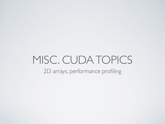#### MISC. CUDA TOPICS 2D arrays, performance profiling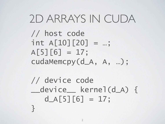#### 2D ARRAYS IN CUDA

// host code  $int A[10][20] = ...;$  $A[5][6] = 17;$ cudaMemcpy(d\_A, A, …);

// device code \_\_device\_\_ kernel(d\_A) {  $d_A[5][6] = 17;$ }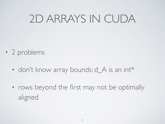# 2D ARRAYS IN CUDA

- 2 problems
	- don't know array bounds: d\_A is an int\*
	- rows beyond the first may not be optimally aligned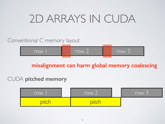# 2D ARRAYS IN CUDA

Conventional C memory layout

| <i><b>Irow</b></i> | -<br><b>Irow</b><br>$\sim$ | -<br><u>row J</u> |
|--------------------|----------------------------|-------------------|
|                    |                            |                   |

**misalignment can harm global memory coalescing**

#### CUDA **pitched memory**

| row | -<br>row 2 | row 3 |
|-----|------------|-------|
| DIC |            |       |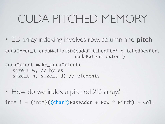# CUDA PITCHED MEMORY

• 2D array indexing involves row, column and **pitch** 

cudaError\_t cudaMalloc3D(cudaPitchedPtr\* pitchedDevPtr, cudaExtent extent)

cudaExtent make\_cudaExtent( size\_t w, // bytes size\_t h, size\_t d) // elements

• How do we index a pitched 2D array?

 $int^* i = (int^*)((char^*)$ BaseAddr + Row  $*$  Pitch) + Col;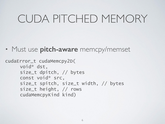## CUDA PITCHED MEMORY

• Must use **pitch-aware** memcpy/memset

```
cudaError_t cudaMemcpy2D(
void* dst, 
size_t dpitch, // bytes
const void* src,
size_t spitch, size_t width, // bytes
size_t height, // rows
cudaMemcpyKind kind)
```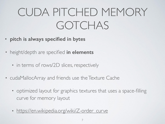# CUDA PITCHED MEMORY GOTCHAS

- **• pitch is always specified in bytes**
- height/depth are specified **in elements**
	- in terms of rows/2D slices, respectively
- cudaMallocArray and friends use the Texture Cache
	- optimized layout for graphics textures that uses a space-filling curve for memory layout
	- [https://en.wikipedia.org/wiki/Z-order\\_curve](https://en.wikipedia.org/wiki/Z-order_curve)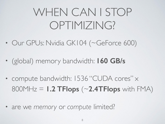# WHEN CAN I STOP OPTIMIZING?

- Our GPUs: Nvidia GK104 (~GeForce 600)
- (global) memory bandwidth: **160 GB/s**
- compute bandwidth: 1536 "CUDA cores" x 800MHz = **1.2 TFlops** (~**2.4TFlops** with FMA)
- are we *memory* or *compute* limited?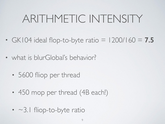# ARITHMETIC INTENSITY

- GK104 ideal flop-to-byte ratio  $= 1200/160 = 7.5$
- what is blurGlobal's behavior?
	- 5600 fliop per thread
	- 450 mop per thread (4B each!)
	- $\cdot$   $\sim$ 3.1 fliop-to-byte ratio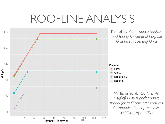### ROOFLINE ANALYSIS

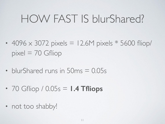# HOW FAST IS blurShared?

- 4096  $\times$  3072 pixels = 12.6M pixels  $*$  5600 fliop/  $pixel = 70$  Gfliop
- blurShared runs in 50ms = 0.05s
- 70 Gfliop / 0.05s = **1.4 Tfliops**
- not too shabby!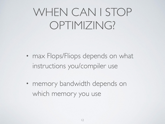# WHEN CAN I STOP OPTIMIZING?

- max Flops/Fliops depends on what instructions you/compiler use
- memory bandwidth depends on which memory you use